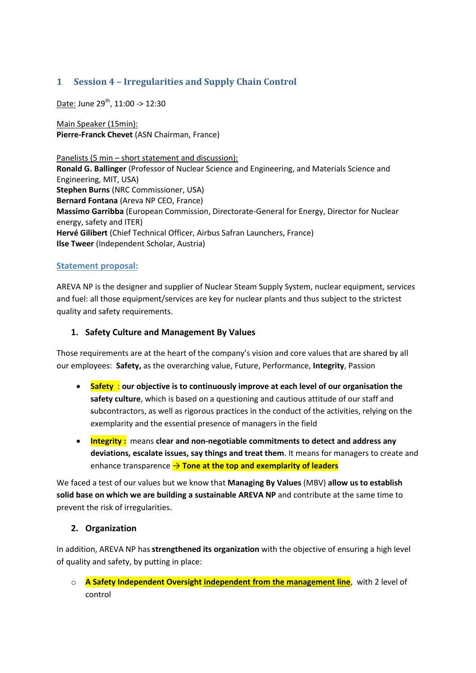## **1 Session 4 – Irregularities and Supply Chain Control**

Date: June 29<sup>th</sup>, 11:00 -> 12:30

Main Speaker (15min): **Pierre-Franck Chevet** (ASN Chairman, France)

Panelists (5 min – short statement and discussion): **Ronald G. Ballinger** (Professor of Nuclear Science and Engineering, and Materials Science and Engineering, MIT, USA) **Stephen Burns** (NRC Commissioner, USA) **Bernard Fontana** (Areva NP CEO, France) **Massimo Garribba** (European Commission, Directorate-General for Energy, Director for Nuclear energy, safety and ITER) **Hervé Gilibert** (Chief Technical Officer, Airbus Safran Launchers, France) **Ilse Tweer** (Independent Scholar, Austria)

## **Statement proposal:**

AREVA NP is the designer and supplier of Nuclear Steam Supply System, nuclear equipment, services and fuel: all those equipment/services are key for nuclear plants and thus subject to the strictest quality and safety requirements.

## **1. Safety Culture and Management By Values**

Those requirements are at the heart of the company's vision and core values that are shared by all our employees: **Safety,** as the overarching value, Future, Performance, **Integrity**, Passion

- **Safety** : **our objective is to continuously improve at each level of our organisation the safety culture**, which is based on a questioning and cautious attitude of our staff and subcontractors, as well as rigorous practices in the conduct of the activities, relying on the exemplarity and the essential presence of managers in the field
- **Integrity :** means **clear and non-negotiable commitments to detect and address any deviations, escalate issues, say things and treat them**. It means for managers to create and enhance transparence → Tone at the top and exemplarity of leaders

We faced a test of our values but we know that **Managing By Values** (MBV) **allow us to establish solid base on which we are building a sustainable AREVA NP** and contribute at the same time to prevent the risk of irregularities.

## **2. Organization**

In addition, AREVA NP has **strengthened its organization** with the objective of ensuring a high level of quality and safety, by putting in place:

o **A Safety Independent Oversight independent from the management line**, with 2 level of control